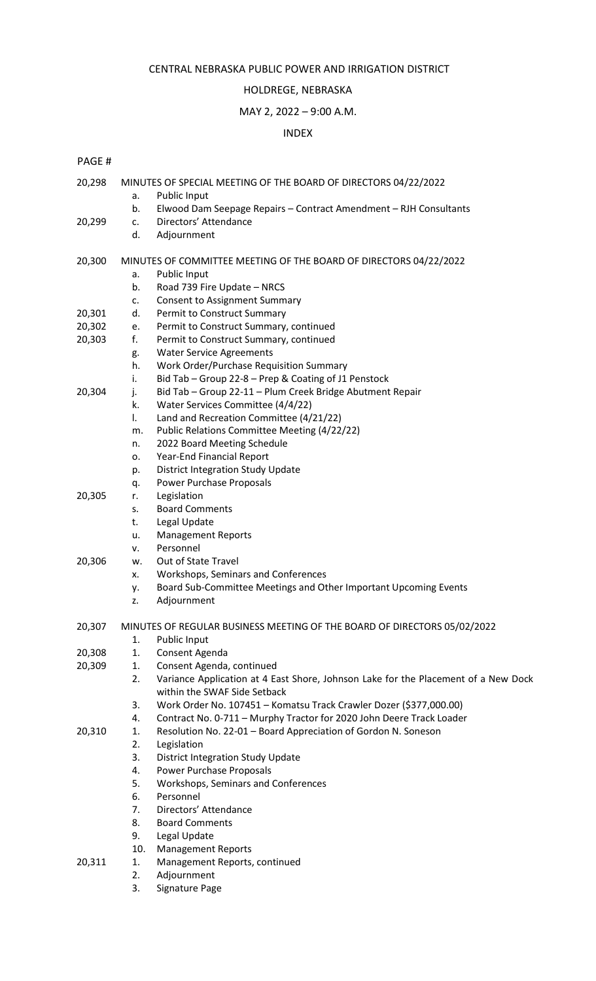#### CENTRAL NEBRASKA PUBLIC POWER AND IRRIGATION DISTRICT

#### HOLDREGE, NEBRASKA

### MAY 2, 2022 – 9:00 A.M.

#### INDEX

### PAGE #

| 20,298 |             | MINUTES OF SPECIAL MEETING OF THE BOARD OF DIRECTORS 04/22/2022<br>Public Input                                    |
|--------|-------------|--------------------------------------------------------------------------------------------------------------------|
|        | а.<br>b.    | Elwood Dam Seepage Repairs - Contract Amendment - RJH Consultants                                                  |
|        |             | Directors' Attendance                                                                                              |
| 20,299 | c.<br>d.    |                                                                                                                    |
|        |             | Adjournment                                                                                                        |
| 20,300 |             | MINUTES OF COMMITTEE MEETING OF THE BOARD OF DIRECTORS 04/22/2022                                                  |
|        | a.          | Public Input                                                                                                       |
|        | b.          | Road 739 Fire Update - NRCS                                                                                        |
|        | c.          | <b>Consent to Assignment Summary</b>                                                                               |
| 20,301 | d.          | Permit to Construct Summary                                                                                        |
| 20,302 | e.          | Permit to Construct Summary, continued                                                                             |
| 20,303 | f.          | Permit to Construct Summary, continued                                                                             |
|        | g.          | <b>Water Service Agreements</b>                                                                                    |
|        | h.          | Work Order/Purchase Requisition Summary                                                                            |
|        | i.          | Bid Tab - Group 22-8 - Prep & Coating of J1 Penstock                                                               |
| 20,304 | j.          | Bid Tab - Group 22-11 - Plum Creek Bridge Abutment Repair                                                          |
|        | k.          | Water Services Committee (4/4/22)                                                                                  |
|        | I.          | Land and Recreation Committee (4/21/22)                                                                            |
|        | m.          | Public Relations Committee Meeting (4/22/22)                                                                       |
|        | n.          | 2022 Board Meeting Schedule                                                                                        |
|        | 0.          | Year-End Financial Report                                                                                          |
|        | p.          | <b>District Integration Study Update</b>                                                                           |
|        | q.          | Power Purchase Proposals                                                                                           |
| 20,305 | r.          | Legislation                                                                                                        |
|        | $S_{\star}$ | <b>Board Comments</b>                                                                                              |
|        | t.          | Legal Update                                                                                                       |
|        | u.          | <b>Management Reports</b>                                                                                          |
|        | ν.          | Personnel                                                                                                          |
| 20,306 | w.          | Out of State Travel                                                                                                |
|        | х.          | Workshops, Seminars and Conferences                                                                                |
|        | у.          | Board Sub-Committee Meetings and Other Important Upcoming Events                                                   |
|        | z.          | Adjournment                                                                                                        |
| 20,307 |             | MINUTES OF REGULAR BUSINESS MEETING OF THE BOARD OF DIRECTORS 05/02/2022                                           |
|        | 1.          | Public Input                                                                                                       |
| 20,308 | 1.          | Consent Agenda                                                                                                     |
| 20,309 | 1.          | Consent Agenda, continued                                                                                          |
|        | 2.          | Variance Application at 4 East Shore, Johnson Lake for the Placement of a New Dock<br>within the SWAF Side Setback |
|        | 3.          | Work Order No. 107451 - Komatsu Track Crawler Dozer (\$377,000.00)                                                 |
|        | 4.          | Contract No. 0-711 - Murphy Tractor for 2020 John Deere Track Loader                                               |
| 20,310 | 1.          | Resolution No. 22-01 - Board Appreciation of Gordon N. Soneson                                                     |
|        | 2.          | Legislation                                                                                                        |
|        | 3.          | <b>District Integration Study Update</b>                                                                           |
|        | 4.          | <b>Power Purchase Proposals</b>                                                                                    |
|        | 5.          | Workshops, Seminars and Conferences                                                                                |
|        | 6.          | Personnel                                                                                                          |
|        | 7.          | Directors' Attendance                                                                                              |
|        | 8.          | <b>Board Comments</b>                                                                                              |
|        | 9.          | Legal Update                                                                                                       |
|        | 10.         | <b>Management Reports</b>                                                                                          |
| 20,311 | 1.          | Management Reports, continued                                                                                      |
|        | 2.          | Adjournment                                                                                                        |
|        |             |                                                                                                                    |

3. Signature Page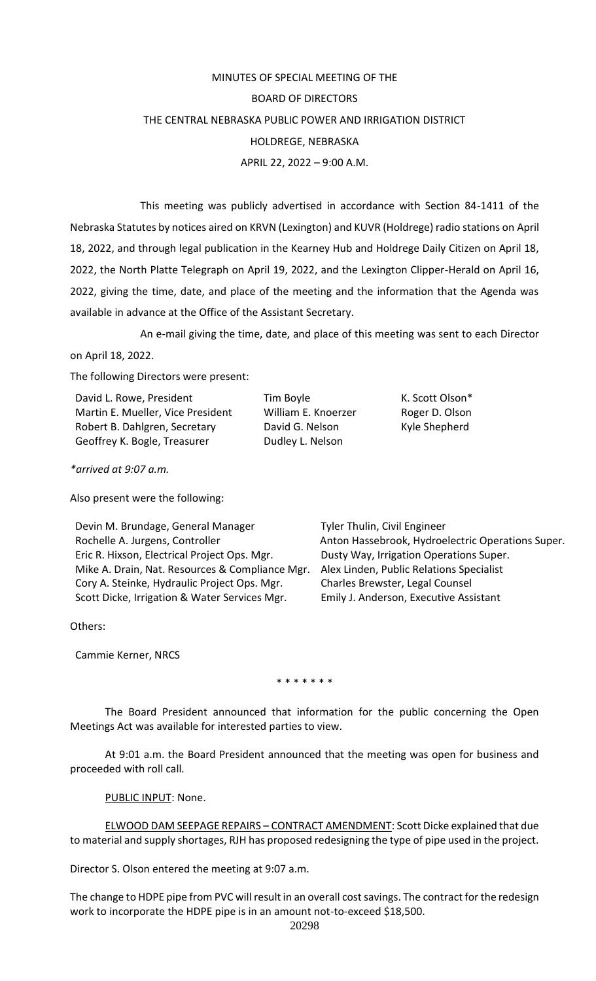# MINUTES OF SPECIAL MEETING OF THE BOARD OF DIRECTORS THE CENTRAL NEBRASKA PUBLIC POWER AND IRRIGATION DISTRICT HOLDREGE, NEBRASKA APRIL 22, 2022 – 9:00 A.M.

This meeting was publicly advertised in accordance with Section 84-1411 of the Nebraska Statutes by notices aired on KRVN (Lexington) and KUVR (Holdrege) radio stations on April 18, 2022, and through legal publication in the Kearney Hub and Holdrege Daily Citizen on April 18, 2022, the North Platte Telegraph on April 19, 2022, and the Lexington Clipper-Herald on April 16, 2022, giving the time, date, and place of the meeting and the information that the Agenda was available in advance at the Office of the Assistant Secretary.

An e-mail giving the time, date, and place of this meeting was sent to each Director on April 18, 2022.

The following Directors were present:

David L. Rowe, President Tim Boyle The Scott Olson\* Martin E. Mueller, Vice President William E. Knoerzer Roger D. Olson Robert B. Dahlgren, Secretary **David G. Nelson** Kyle Shepherd Geoffrey K. Bogle, Treasurer **Dudley L. Nelson** 

*\*arrived at 9:07 a.m.*

Also present were the following:

Devin M. Brundage, General Manager Tyler Thulin, Civil Engineer Eric R. Hixson, Electrical Project Ops. Mgr. Dusty Way, Irrigation Operations Super. Mike A. Drain, Nat. Resources & Compliance Mgr. Alex Linden, Public Relations Specialist Cory A. Steinke, Hydraulic Project Ops. Mgr. Charles Brewster, Legal Counsel Scott Dicke, Irrigation & Water Services Mgr. Emily J. Anderson, Executive Assistant

Rochelle A. Jurgens, Controller **Anton Hassebrook**, Hydroelectric Operations Super.

Others:

Cammie Kerner, NRCS

\* \* \* \* \* \* \*

The Board President announced that information for the public concerning the Open Meetings Act was available for interested parties to view.

At 9:01 a.m. the Board President announced that the meeting was open for business and proceeded with roll call*.*

PUBLIC INPUT: None.

ELWOOD DAM SEEPAGE REPAIRS – CONTRACT AMENDMENT: Scott Dicke explained that due to material and supply shortages, RJH has proposed redesigning the type of pipe used in the project.

Director S. Olson entered the meeting at 9:07 a.m.

The change to HDPE pipe from PVC will result in an overall cost savings. The contract for the redesign work to incorporate the HDPE pipe is in an amount not-to-exceed \$18,500.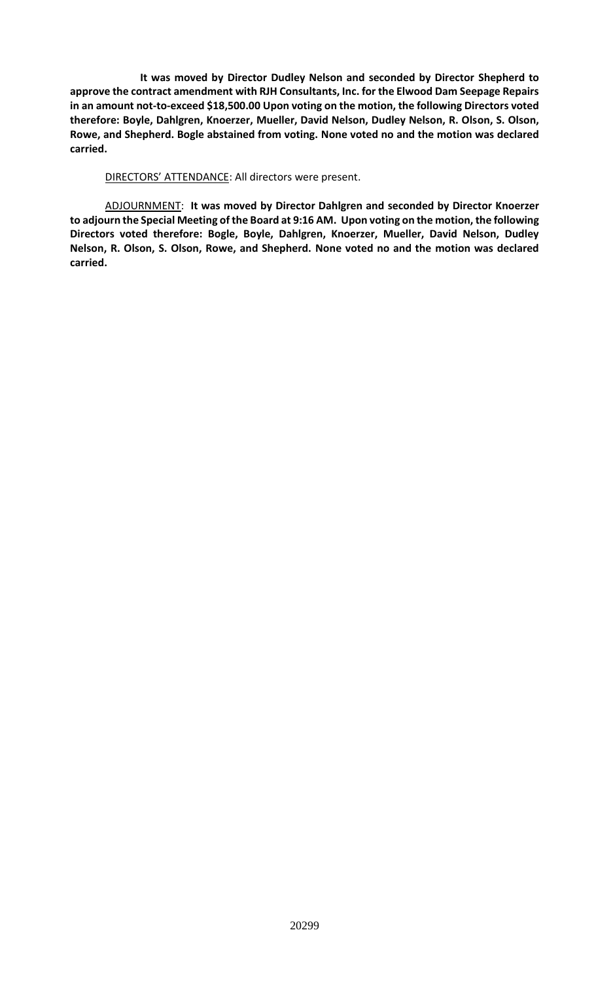**It was moved by Director Dudley Nelson and seconded by Director Shepherd to approve the contract amendment with RJH Consultants, Inc. for the Elwood Dam Seepage Repairs in an amount not-to-exceed \$18,500.00 Upon voting on the motion, the following Directors voted therefore: Boyle, Dahlgren, Knoerzer, Mueller, David Nelson, Dudley Nelson, R. Olson, S. Olson, Rowe, and Shepherd. Bogle abstained from voting. None voted no and the motion was declared carried.**

DIRECTORS' ATTENDANCE: All directors were present.

ADJOURNMENT: **It was moved by Director Dahlgren and seconded by Director Knoerzer to adjourn the Special Meeting of the Board at 9:16 AM. Upon voting on the motion, the following Directors voted therefore: Bogle, Boyle, Dahlgren, Knoerzer, Mueller, David Nelson, Dudley Nelson, R. Olson, S. Olson, Rowe, and Shepherd. None voted no and the motion was declared carried.**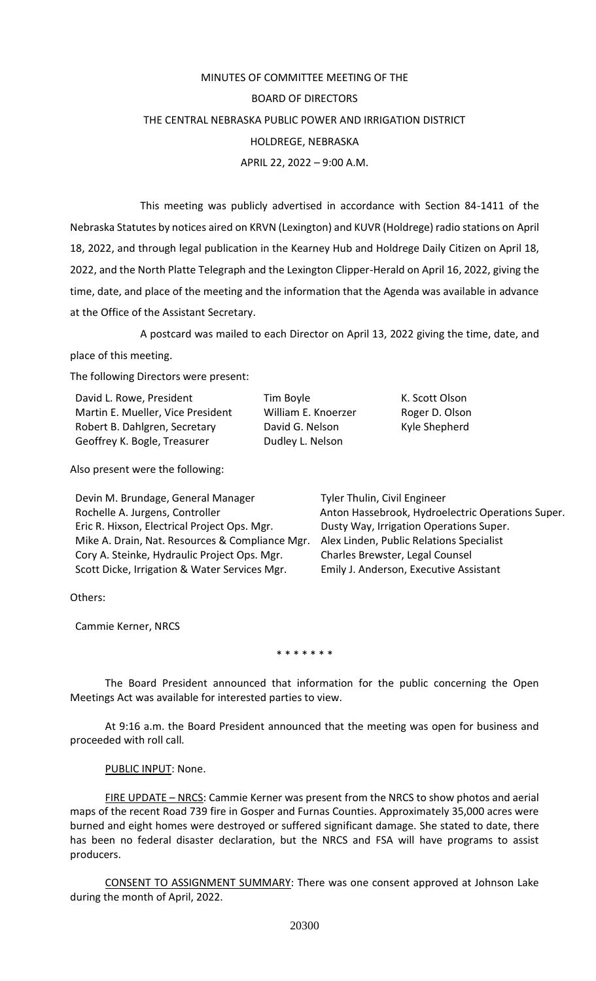# MINUTES OF COMMITTEE MEETING OF THE BOARD OF DIRECTORS THE CENTRAL NEBRASKA PUBLIC POWER AND IRRIGATION DISTRICT HOLDREGE, NEBRASKA APRIL 22, 2022 – 9:00 A.M.

This meeting was publicly advertised in accordance with Section 84-1411 of the Nebraska Statutes by notices aired on KRVN (Lexington) and KUVR (Holdrege) radio stations on April 18, 2022, and through legal publication in the Kearney Hub and Holdrege Daily Citizen on April 18, 2022, and the North Platte Telegraph and the Lexington Clipper-Herald on April 16, 2022, giving the time, date, and place of the meeting and the information that the Agenda was available in advance at the Office of the Assistant Secretary.

A postcard was mailed to each Director on April 13, 2022 giving the time, date, and place of this meeting.

> Tim Boyle **K. Scott Olson** William E. Knoerzer Roger D. Olson David G. Nelson Kyle Shepherd

The following Directors were present:

| David L. Rowe, President          |  |  |  |  |
|-----------------------------------|--|--|--|--|
| Martin E. Mueller, Vice President |  |  |  |  |
| Robert B. Dahlgren, Secretary     |  |  |  |  |
| Geoffrey K. Bogle, Treasurer      |  |  |  |  |

Dudley L. Nelson

Also present were the following:

| Devin M. Brundage, General Manager             |
|------------------------------------------------|
| Rochelle A. Jurgens, Controller                |
| Eric R. Hixson, Electrical Project Ops. Mgr.   |
| Mike A. Drain, Nat. Resources & Compliance Mgr |
| Cory A. Steinke, Hydraulic Project Ops. Mgr.   |
| Scott Dicke, Irrigation & Water Services Mgr.  |

Tyler Thulin, Civil Engineer Anton Hassebrook, Hydroelectric Operations Super. Dusty Way, Irrigation Operations Super. Mike A. Drain, Public Relations Specialist Charles Brewster, Legal Counsel Emily J. Anderson, Executive Assistant

Others:

Cammie Kerner, NRCS

\* \* \* \* \* \* \*

The Board President announced that information for the public concerning the Open Meetings Act was available for interested parties to view.

At 9:16 a.m. the Board President announced that the meeting was open for business and proceeded with roll call*.*

### PUBLIC INPUT: None.

FIRE UPDATE – NRCS: Cammie Kerner was present from the NRCS to show photos and aerial maps of the recent Road 739 fire in Gosper and Furnas Counties. Approximately 35,000 acres were burned and eight homes were destroyed or suffered significant damage. She stated to date, there has been no federal disaster declaration, but the NRCS and FSA will have programs to assist producers.

CONSENT TO ASSIGNMENT SUMMARY: There was one consent approved at Johnson Lake during the month of April, 2022.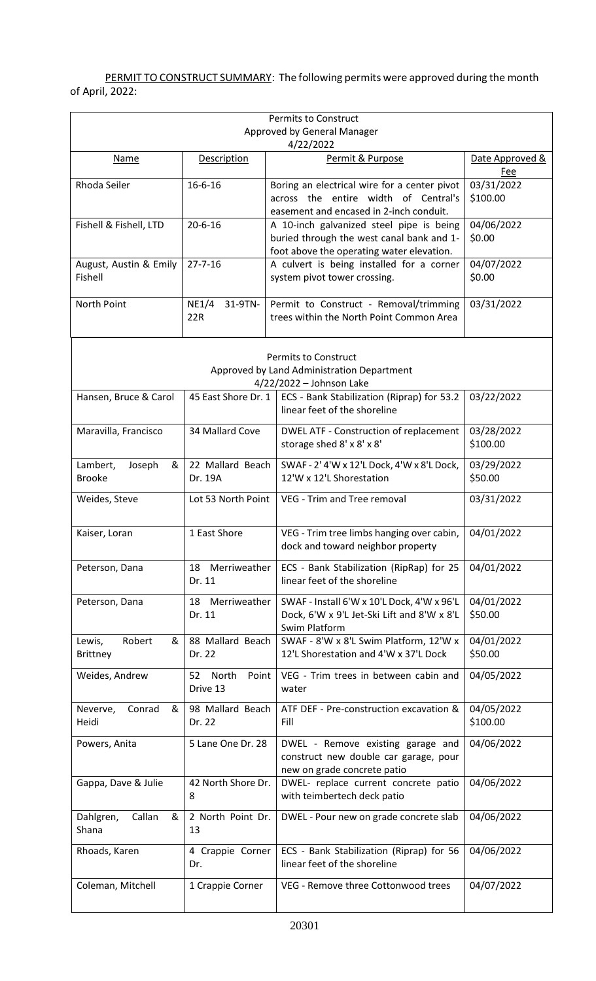PERMIT TO CONSTRUCT SUMMARY: The following permits were approved during the month of April, 2022:

| <b>Permits to Construct</b><br>Approved by General Manager<br>4/22/2022         |                                  |                                                                                                                                    |                        |  |  |  |
|---------------------------------------------------------------------------------|----------------------------------|------------------------------------------------------------------------------------------------------------------------------------|------------------------|--|--|--|
| Permit & Purpose<br><b>Description</b><br>Date Approved &<br><b>Name</b><br>Fee |                                  |                                                                                                                                    |                        |  |  |  |
| Rhoda Seiler<br>$16 - 6 - 16$                                                   |                                  | Boring an electrical wire for a center pivot<br>across the entire width of Central's<br>easement and encased in 2-inch conduit.    | 03/31/2022<br>\$100.00 |  |  |  |
| Fishell & Fishell, LTD                                                          | $20 - 6 - 16$                    | A 10-inch galvanized steel pipe is being<br>buried through the west canal bank and 1-<br>foot above the operating water elevation. | 04/06/2022<br>\$0.00   |  |  |  |
| August, Austin & Emily<br>Fishell                                               | $27 - 7 - 16$                    | A culvert is being installed for a corner<br>system pivot tower crossing.                                                          | 04/07/2022<br>\$0.00   |  |  |  |
| North Point                                                                     | NE1/4<br>31-9TN-<br>22R          | Permit to Construct - Removal/trimming<br>trees within the North Point Common Area                                                 | 03/31/2022             |  |  |  |
|                                                                                 |                                  | <b>Permits to Construct</b><br>Approved by Land Administration Department<br>4/22/2022 - Johnson Lake                              |                        |  |  |  |
| Hansen, Bruce & Carol                                                           | 45 East Shore Dr. 1              | ECS - Bank Stabilization (Riprap) for 53.2<br>linear feet of the shoreline                                                         | 03/22/2022             |  |  |  |
| Maravilla, Francisco                                                            | 34 Mallard Cove                  | DWEL ATF - Construction of replacement<br>storage shed 8' x 8' x 8'                                                                | 03/28/2022<br>\$100.00 |  |  |  |
| Lambert,<br>Joseph<br>&<br><b>Brooke</b>                                        | 22 Mallard Beach<br>Dr. 19A      | SWAF - 2' 4'W x 12'L Dock, 4'W x 8'L Dock,<br>12'W x 12'L Shorestation                                                             | 03/29/2022<br>\$50.00  |  |  |  |
| Weides, Steve                                                                   | Lot 53 North Point               | VEG - Trim and Tree removal                                                                                                        | 03/31/2022             |  |  |  |
| 1 East Shore<br>Kaiser, Loran                                                   |                                  | VEG - Trim tree limbs hanging over cabin,<br>dock and toward neighbor property                                                     | 04/01/2022             |  |  |  |
| 18 Merriweather<br>Peterson, Dana<br>Dr. 11                                     |                                  | ECS - Bank Stabilization (RipRap) for 25<br>linear feet of the shoreline                                                           | 04/01/2022             |  |  |  |
| 18 Merriweather<br>Peterson, Dana<br>Dr. 11                                     |                                  | SWAF - Install 6'W x 10'L Dock, 4'W x 96'L<br>Dock, 6'W x 9'L Jet-Ski Lift and 8'W x 8'L<br>Swim Platform                          | 04/01/2022<br>\$50.00  |  |  |  |
| Robert<br>Lewis,<br>&<br><b>Brittney</b>                                        | 88 Mallard Beach<br>Dr. 22       | SWAF - 8'W x 8'L Swim Platform, 12'W x<br>12'L Shorestation and 4'W x 37'L Dock                                                    | 04/01/2022<br>\$50.00  |  |  |  |
| Weides, Andrew                                                                  | North<br>Point<br>52<br>Drive 13 | VEG - Trim trees in between cabin and<br>water                                                                                     | 04/05/2022             |  |  |  |
| 98 Mallard Beach<br>Conrad<br>&<br>Neverve,<br>Heidi<br>Dr. 22<br>Fill          |                                  | ATF DEF - Pre-construction excavation &                                                                                            | 04/05/2022<br>\$100.00 |  |  |  |
| 5 Lane One Dr. 28<br>Powers, Anita                                              |                                  | DWEL - Remove existing garage and<br>construct new double car garage, pour<br>new on grade concrete patio                          | 04/06/2022             |  |  |  |
| 42 North Shore Dr.<br>Gappa, Dave & Julie<br>8                                  |                                  | DWEL- replace current concrete patio<br>with teimbertech deck patio                                                                | 04/06/2022             |  |  |  |
| Dahlgren,<br>Callan<br>&<br>Shana                                               | 2 North Point Dr.<br>13          | DWEL - Pour new on grade concrete slab                                                                                             | 04/06/2022             |  |  |  |
| Rhoads, Karen                                                                   | 4 Crappie Corner<br>Dr.          | ECS - Bank Stabilization (Riprap) for 56<br>linear feet of the shoreline                                                           | 04/06/2022             |  |  |  |
| Coleman, Mitchell                                                               | 1 Crappie Corner                 | VEG - Remove three Cottonwood trees                                                                                                | 04/07/2022             |  |  |  |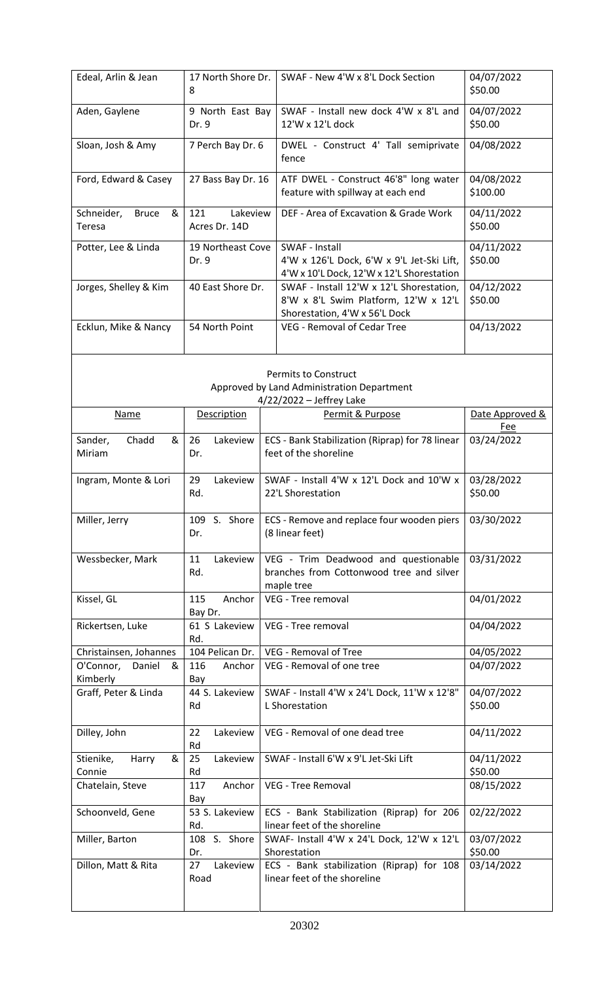| 17 North Shore Dr.<br>Edeal, Arlin & Jean<br>8 |                                                                                                    | SWAF - New 4'W x 8'L Dock Section                                                                                 | 04/07/2022<br>\$50.00         |
|------------------------------------------------|----------------------------------------------------------------------------------------------------|-------------------------------------------------------------------------------------------------------------------|-------------------------------|
| Aden, Gaylene                                  | 9 North East Bay<br>Dr. 9                                                                          | SWAF - Install new dock 4'W x 8'L and<br>12'W x 12'L dock                                                         | 04/07/2022<br>\$50.00         |
| Sloan, Josh & Amy                              | 7 Perch Bay Dr. 6                                                                                  | DWEL - Construct 4' Tall semiprivate<br>fence                                                                     | 04/08/2022                    |
| Ford, Edward & Casey                           | 27 Bass Bay Dr. 16                                                                                 | ATF DWEL - Construct 46'8" long water<br>feature with spillway at each end                                        | 04/08/2022<br>\$100.00        |
| Schneider,<br>&<br><b>Bruce</b><br>Teresa      | Lakeview<br>121<br>Acres Dr. 14D                                                                   | DEF - Area of Excavation & Grade Work                                                                             | 04/11/2022<br>\$50.00         |
| Potter, Lee & Linda                            | 19 Northeast Cove<br>Dr. 9                                                                         | SWAF - Install<br>4'W x 126'L Dock, 6'W x 9'L Jet-Ski Lift,<br>4'W x 10'L Dock, 12'W x 12'L Shorestation          | 04/11/2022<br>\$50.00         |
| Jorges, Shelley & Kim                          | 40 East Shore Dr.                                                                                  | SWAF - Install 12'W x 12'L Shorestation,<br>8'W x 8'L Swim Platform, 12'W x 12'L<br>Shorestation, 4'W x 56'L Dock | 04/12/2022<br>\$50.00         |
| Ecklun, Mike & Nancy                           | 54 North Point                                                                                     | <b>VEG - Removal of Cedar Tree</b>                                                                                | 04/13/2022                    |
|                                                |                                                                                                    | <b>Permits to Construct</b><br>Approved by Land Administration Department<br>$4/22/2022$ – Jeffrey Lake           |                               |
| Name                                           | Description                                                                                        | Permit & Purpose                                                                                                  | Date Approved &<br><b>Fee</b> |
| Chadd<br>&<br>Sander,<br>Miriam                | 26<br>Lakeview<br>Dr.                                                                              | ECS - Bank Stabilization (Riprap) for 78 linear<br>feet of the shoreline                                          | 03/24/2022                    |
| Ingram, Monte & Lori                           | SWAF - Install 4'W x 12'L Dock and 10'W x<br>Lakeview<br>29<br>Rd.<br>22'L Shorestation            |                                                                                                                   | 03/28/2022<br>\$50.00         |
| Miller, Jerry                                  | 109 S. Shore<br>Dr.                                                                                | ECS - Remove and replace four wooden piers<br>(8 linear feet)                                                     | 03/30/2022                    |
| Wessbecker, Mark                               | Lakeview<br>11<br>Rd.                                                                              | VEG - Trim Deadwood and questionable<br>branches from Cottonwood tree and silver<br>maple tree                    | 03/31/2022                    |
| Kissel, GL                                     | Anchor<br>115<br>Bay Dr.                                                                           | VEG - Tree removal                                                                                                | 04/01/2022                    |
| Rickertsen, Luke                               | 61 S Lakeview<br>Rd.                                                                               | VEG - Tree removal                                                                                                | 04/04/2022                    |
| Christainsen, Johannes                         |                                                                                                    | 104 Pelican Dr.   VEG - Removal of Tree                                                                           | 04/05/2022                    |
| O'Connor,<br>Daniel<br>&<br>Kimberly           | 116<br>Anchor<br>Bay                                                                               | VEG - Removal of one tree                                                                                         | 04/07/2022                    |
| Graff, Peter & Linda                           | 44 S. Lakeview<br>Rd                                                                               | SWAF - Install 4'W x 24'L Dock, 11'W x 12'8"<br>L Shorestation                                                    | 04/07/2022<br>\$50.00         |
| Dilley, John                                   | 22<br>Lakeview<br>Rd                                                                               | VEG - Removal of one dead tree                                                                                    | 04/11/2022                    |
| Stienike,<br>Harry<br>&<br>Connie              | 25<br>Lakeview<br>Rd                                                                               | SWAF - Install 6'W x 9'L Jet-Ski Lift                                                                             | 04/11/2022<br>\$50.00         |
| Chatelain, Steve                               | 117<br>Anchor<br>Bay                                                                               | VEG - Tree Removal                                                                                                | 08/15/2022                    |
| Schoonveld, Gene                               | 53 S. Lakeview<br>ECS - Bank Stabilization (Riprap) for 206<br>linear feet of the shoreline<br>Rd. |                                                                                                                   | 02/22/2022                    |
| Miller, Barton                                 | 108 S. Shore<br>Dr.                                                                                | SWAF- Install 4'W x 24'L Dock, 12'W x 12'L<br>Shorestation                                                        | 03/07/2022<br>\$50.00         |
| Dillon, Matt & Rita                            | Lakeview<br>27<br>Road                                                                             | ECS - Bank stabilization (Riprap) for 108<br>linear feet of the shoreline                                         | 03/14/2022                    |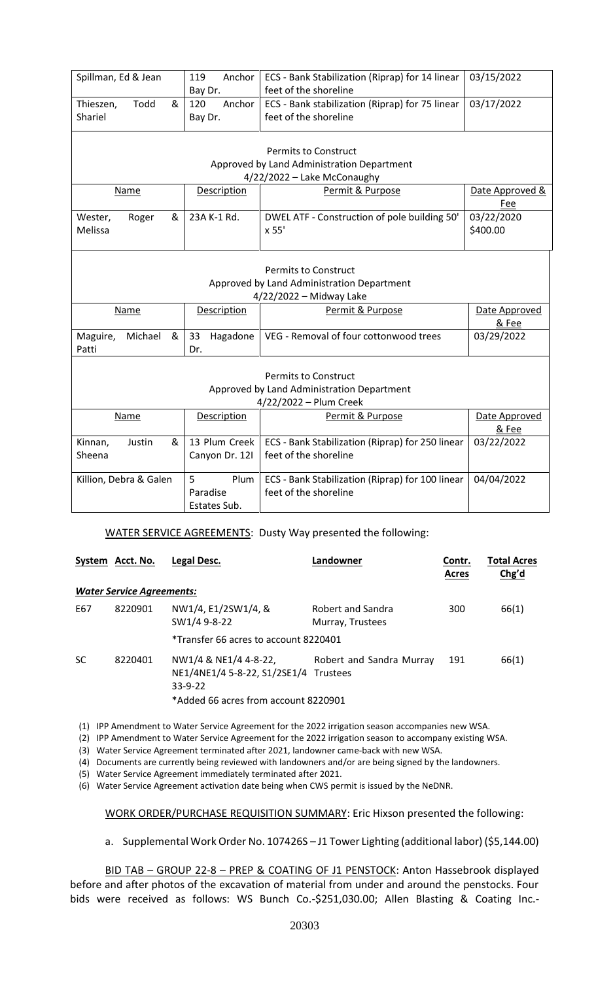| Spillman, Ed & Jean                                                                                  |                                                                                                          | Anchor<br>119<br>Bay Dr.        | ECS - Bank Stabilization (Riprap) for 14 linear<br>feet of the shoreline                         | 03/15/2022                                                                |                               |  |  |  |
|------------------------------------------------------------------------------------------------------|----------------------------------------------------------------------------------------------------------|---------------------------------|--------------------------------------------------------------------------------------------------|---------------------------------------------------------------------------|-------------------------------|--|--|--|
| Thieszen,<br>Todd<br>&<br>Shariel                                                                    |                                                                                                          | 120<br>Bay Dr.                  | Anchor<br>ECS - Bank stabilization (Riprap) for 75 linear<br>03/17/2022<br>feet of the shoreline |                                                                           |                               |  |  |  |
|                                                                                                      | <b>Permits to Construct</b><br>Approved by Land Administration Department<br>4/22/2022 - Lake McConaughy |                                 |                                                                                                  |                                                                           |                               |  |  |  |
|                                                                                                      | <b>Name</b>                                                                                              |                                 | Description                                                                                      | Permit & Purpose                                                          |                               |  |  |  |
| Wester,<br>Melissa                                                                                   | Roger                                                                                                    | &                               | 23A K-1 Rd.                                                                                      | DWEL ATF - Construction of pole building 50'<br>x 55'                     | Fee<br>03/22/2020<br>\$400.00 |  |  |  |
| <b>Permits to Construct</b><br>Approved by Land Administration Department<br>4/22/2022 - Midway Lake |                                                                                                          |                                 |                                                                                                  |                                                                           |                               |  |  |  |
| Permit & Purpose<br>Description<br>Name                                                              |                                                                                                          |                                 |                                                                                                  | Date Approved<br>& Fee                                                    |                               |  |  |  |
| Maguire,<br>Patti                                                                                    | Michael                                                                                                  | &                               | 33<br>Hagadone<br>Dr.                                                                            | VEG - Removal of four cottonwood trees                                    | 03/29/2022                    |  |  |  |
| <b>Permits to Construct</b><br>Approved by Land Administration Department<br>4/22/2022 - Plum Creek  |                                                                                                          |                                 |                                                                                                  |                                                                           |                               |  |  |  |
| Name                                                                                                 |                                                                                                          |                                 | <b>Description</b>                                                                               | Permit & Purpose                                                          | Date Approved<br>& Fee        |  |  |  |
| Kinnan,<br>Justin<br>&<br>Sheena                                                                     |                                                                                                          | 13 Plum Creek<br>Canyon Dr. 121 | ECS - Bank Stabilization (Riprap) for 250 linear<br>feet of the shoreline                        | 03/22/2022                                                                |                               |  |  |  |
| Killion, Debra & Galen                                                                               |                                                                                                          |                                 | 5<br>Plum<br>Paradise<br>Estates Sub.                                                            | ECS - Bank Stabilization (Riprap) for 100 linear<br>feet of the shoreline | 04/04/2022                    |  |  |  |

WATER SERVICE AGREEMENTS: Dusty Way presented the following:

|           | System Acct. No.                 | Legal Desc.                                                                                                | Landowner                             | Contr.<br><b>Acres</b> | <b>Total Acres</b><br>Chg'd |
|-----------|----------------------------------|------------------------------------------------------------------------------------------------------------|---------------------------------------|------------------------|-----------------------------|
|           | <b>Water Service Agreements:</b> |                                                                                                            |                                       |                        |                             |
| E67       | 8220901                          | NW1/4, E1/2SW1/4, &<br>SW1/4 9-8-22                                                                        | Robert and Sandra<br>Murray, Trustees | 300                    | 66(1)                       |
|           |                                  | *Transfer 66 acres to account 8220401                                                                      |                                       |                        |                             |
| <b>SC</b> | 8220401                          | NW1/4 & NE1/4 4-8-22,<br>NE1/4NE1/4 5-8-22, S1/2SE1/4<br>$33-9-22$<br>*Added 66 acres from account 8220901 | Robert and Sandra Murray<br>Trustees  | 191                    | 66(1)                       |

(1) IPP Amendment to Water Service Agreement for the 2022 irrigation season accompanies new WSA.

(2) IPP Amendment to Water Service Agreement for the 2022 irrigation season to accompany existing WSA.

(3) Water Service Agreement terminated after 2021, landowner came-back with new WSA.

(4) Documents are currently being reviewed with landowners and/or are being signed by the landowners.

(5) Water Service Agreement immediately terminated after 2021.

(6) Water Service Agreement activation date being when CWS permit is issued by the NeDNR.

WORK ORDER/PURCHASE REQUISITION SUMMARY: Eric Hixson presented the following:

a. Supplemental Work Order No. 107426S – J1 Tower Lighting (additional labor) (\$5,144.00)

BID TAB – GROUP 22-8 – PREP & COATING OF J1 PENSTOCK: Anton Hassebrook displayed before and after photos of the excavation of material from under and around the penstocks. Four bids were received as follows: WS Bunch Co.-\$251,030.00; Allen Blasting & Coating Inc.-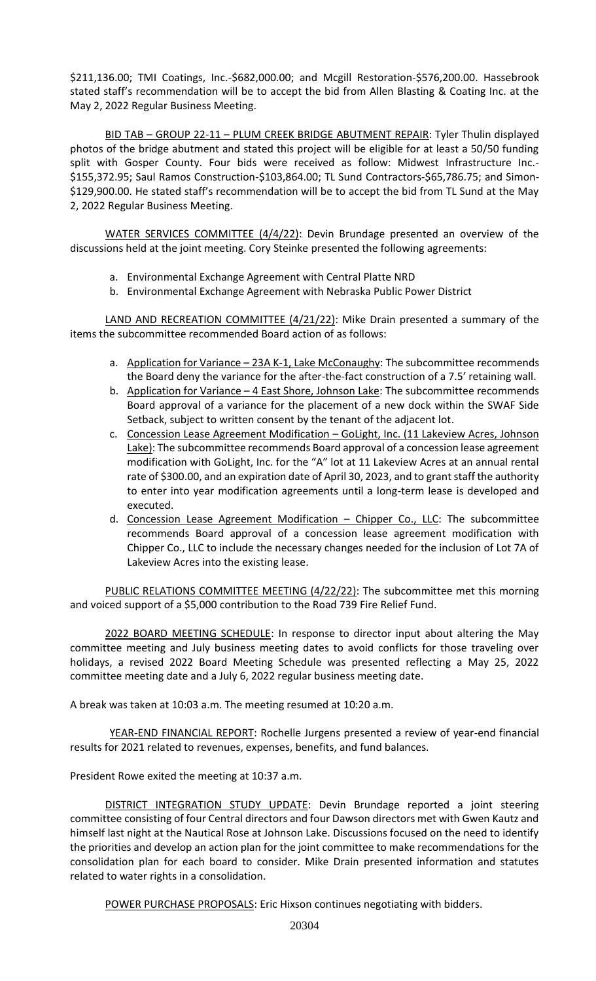\$211,136.00; TMI Coatings, Inc.-\$682,000.00; and Mcgill Restoration-\$576,200.00. Hassebrook stated staff's recommendation will be to accept the bid from Allen Blasting & Coating Inc. at the May 2, 2022 Regular Business Meeting.

BID TAB – GROUP 22-11 – PLUM CREEK BRIDGE ABUTMENT REPAIR: Tyler Thulin displayed photos of the bridge abutment and stated this project will be eligible for at least a 50/50 funding split with Gosper County. Four bids were received as follow: Midwest Infrastructure Inc.- \$155,372.95; Saul Ramos Construction-\$103,864.00; TL Sund Contractors-\$65,786.75; and Simon- \$129,900.00. He stated staff's recommendation will be to accept the bid from TL Sund at the May 2, 2022 Regular Business Meeting.

WATER SERVICES COMMITTEE (4/4/22): Devin Brundage presented an overview of the discussions held at the joint meeting. Cory Steinke presented the following agreements:

- a. Environmental Exchange Agreement with Central Platte NRD
- b. Environmental Exchange Agreement with Nebraska Public Power District

LAND AND RECREATION COMMITTEE (4/21/22): Mike Drain presented a summary of the items the subcommittee recommended Board action of as follows:

- a. Application for Variance 23A K-1, Lake McConaughy: The subcommittee recommends the Board deny the variance for the after-the-fact construction of a 7.5' retaining wall.
- b. Application for Variance 4 East Shore, Johnson Lake: The subcommittee recommends Board approval of a variance for the placement of a new dock within the SWAF Side Setback, subject to written consent by the tenant of the adjacent lot.
- c. Concession Lease Agreement Modification GoLight, Inc. (11 Lakeview Acres, Johnson Lake): The subcommittee recommends Board approval of a concession lease agreement modification with GoLight, Inc. for the "A" lot at 11 Lakeview Acres at an annual rental rate of \$300.00, and an expiration date of April 30, 2023, and to grant staff the authority to enter into year modification agreements until a long-term lease is developed and executed.
- d. Concession Lease Agreement Modification Chipper Co., LLC: The subcommittee recommends Board approval of a concession lease agreement modification with Chipper Co., LLC to include the necessary changes needed for the inclusion of Lot 7A of Lakeview Acres into the existing lease.

PUBLIC RELATIONS COMMITTEE MEETING (4/22/22): The subcommittee met this morning and voiced support of a \$5,000 contribution to the Road 739 Fire Relief Fund.

2022 BOARD MEETING SCHEDULE: In response to director input about altering the May committee meeting and July business meeting dates to avoid conflicts for those traveling over holidays, a revised 2022 Board Meeting Schedule was presented reflecting a May 25, 2022 committee meeting date and a July 6, 2022 regular business meeting date.

A break was taken at 10:03 a.m. The meeting resumed at 10:20 a.m.

YEAR-END FINANCIAL REPORT: Rochelle Jurgens presented a review of year-end financial results for 2021 related to revenues, expenses, benefits, and fund balances.

President Rowe exited the meeting at 10:37 a.m.

DISTRICT INTEGRATION STUDY UPDATE: Devin Brundage reported a joint steering committee consisting of four Central directors and four Dawson directors met with Gwen Kautz and himself last night at the Nautical Rose at Johnson Lake. Discussions focused on the need to identify the priorities and develop an action plan for the joint committee to make recommendations for the consolidation plan for each board to consider. Mike Drain presented information and statutes related to water rights in a consolidation.

POWER PURCHASE PROPOSALS: Eric Hixson continues negotiating with bidders.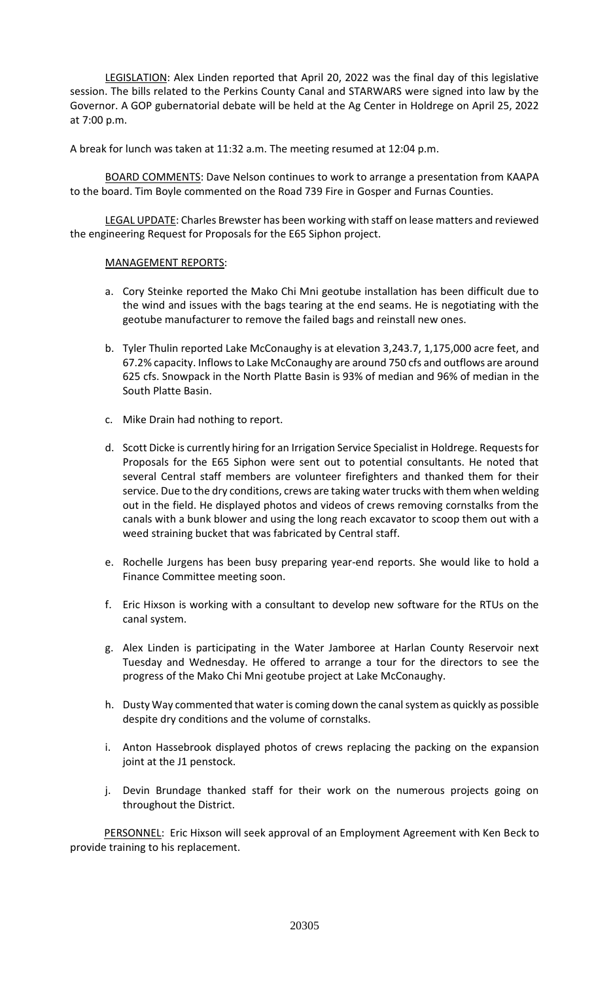LEGISLATION: Alex Linden reported that April 20, 2022 was the final day of this legislative session. The bills related to the Perkins County Canal and STARWARS were signed into law by the Governor. A GOP gubernatorial debate will be held at the Ag Center in Holdrege on April 25, 2022 at 7:00 p.m.

A break for lunch was taken at 11:32 a.m. The meeting resumed at 12:04 p.m.

BOARD COMMENTS: Dave Nelson continues to work to arrange a presentation from KAAPA to the board. Tim Boyle commented on the Road 739 Fire in Gosper and Furnas Counties.

LEGAL UPDATE: Charles Brewster has been working with staff on lease matters and reviewed the engineering Request for Proposals for the E65 Siphon project.

#### MANAGEMENT REPORTS:

- a. Cory Steinke reported the Mako Chi Mni geotube installation has been difficult due to the wind and issues with the bags tearing at the end seams. He is negotiating with the geotube manufacturer to remove the failed bags and reinstall new ones.
- b. Tyler Thulin reported Lake McConaughy is at elevation 3,243.7, 1,175,000 acre feet, and 67.2% capacity. Inflows to Lake McConaughy are around 750 cfs and outflows are around 625 cfs. Snowpack in the North Platte Basin is 93% of median and 96% of median in the South Platte Basin.
- c. Mike Drain had nothing to report.
- d. Scott Dicke is currently hiring for an Irrigation Service Specialist in Holdrege. Requests for Proposals for the E65 Siphon were sent out to potential consultants. He noted that several Central staff members are volunteer firefighters and thanked them for their service. Due to the dry conditions, crews are taking water trucks with them when welding out in the field. He displayed photos and videos of crews removing cornstalks from the canals with a bunk blower and using the long reach excavator to scoop them out with a weed straining bucket that was fabricated by Central staff.
- e. Rochelle Jurgens has been busy preparing year-end reports. She would like to hold a Finance Committee meeting soon.
- f. Eric Hixson is working with a consultant to develop new software for the RTUs on the canal system.
- g. Alex Linden is participating in the Water Jamboree at Harlan County Reservoir next Tuesday and Wednesday. He offered to arrange a tour for the directors to see the progress of the Mako Chi Mni geotube project at Lake McConaughy.
- h. Dusty Way commented that water is coming down the canal system as quickly as possible despite dry conditions and the volume of cornstalks.
- i. Anton Hassebrook displayed photos of crews replacing the packing on the expansion joint at the J1 penstock.
- j. Devin Brundage thanked staff for their work on the numerous projects going on throughout the District.

PERSONNEL: Eric Hixson will seek approval of an Employment Agreement with Ken Beck to provide training to his replacement.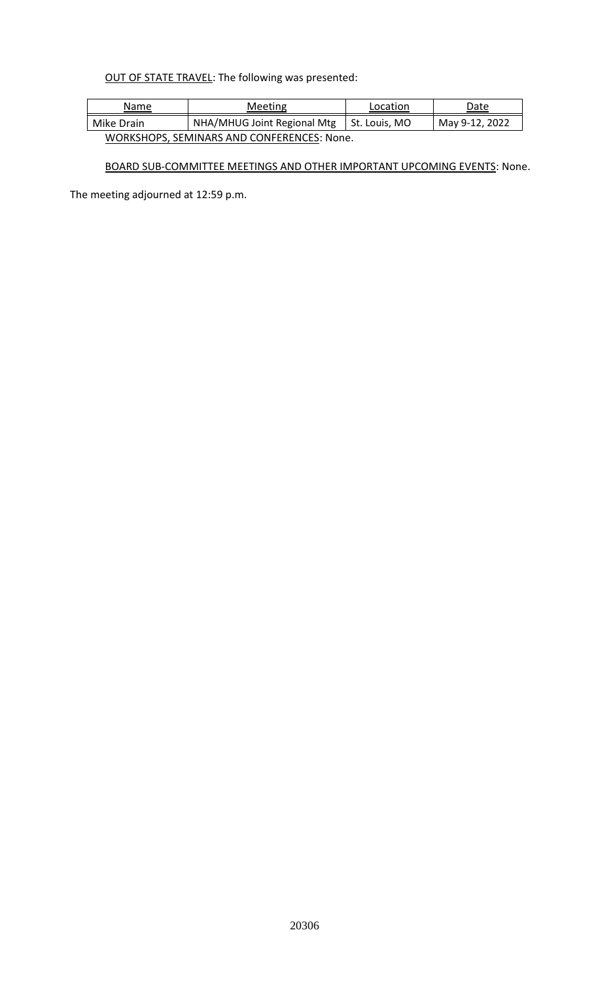# OUT OF STATE TRAVEL: The following was presented:

| Meeting<br>Name                            |                             | Location      | Date           |  |  |  |
|--------------------------------------------|-----------------------------|---------------|----------------|--|--|--|
| Mike Drain                                 | NHA/MHUG Joint Regional Mtg | St. Louis, MO | May 9-12, 2022 |  |  |  |
| WORKSHOPS, SEMINARS AND CONFERENCES: None. |                             |               |                |  |  |  |

# BOARD SUB-COMMITTEE MEETINGS AND OTHER IMPORTANT UPCOMING EVENTS: None.

The meeting adjourned at 12:59 p.m.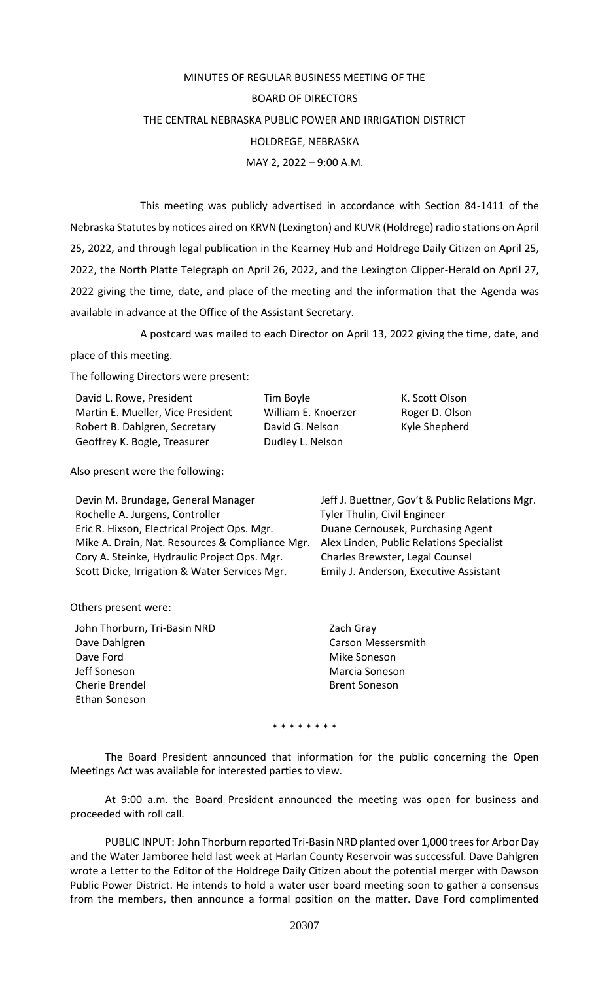# MINUTES OF REGULAR BUSINESS MEETING OF THE BOARD OF DIRECTORS THE CENTRAL NEBRASKA PUBLIC POWER AND IRRIGATION DISTRICT HOLDREGE, NEBRASKA MAY 2, 2022 – 9:00 A.M.

This meeting was publicly advertised in accordance with Section 84-1411 of the Nebraska Statutes by notices aired on KRVN (Lexington) and KUVR (Holdrege) radio stations on April 25, 2022, and through legal publication in the Kearney Hub and Holdrege Daily Citizen on April 25, 2022, the North Platte Telegraph on April 26, 2022, and the Lexington Clipper-Herald on April 27, 2022 giving the time, date, and place of the meeting and the information that the Agenda was available in advance at the Office of the Assistant Secretary.

A postcard was mailed to each Director on April 13, 2022 giving the time, date, and place of this meeting.

The following Directors were present:

| David L. Rowe, President          | Tim Boyle           |
|-----------------------------------|---------------------|
| Martin E. Mueller, Vice President | William E. Knoerzer |
| Robert B. Dahlgren, Secretary     | David G. Nelson     |
| Geoffrey K. Bogle, Treasurer      | Dudley L. Nelson    |

Also present were the following:

Devin M. Brundage, General Manager Jeff J. Buettner, Gov't & Public Relations Mgr. Rochelle A. Jurgens, Controller Tyler Thulin, Civil Engineer Eric R. Hixson, Electrical Project Ops. Mgr. Duane Cernousek, Purchasing Agent Mike A. Drain, Nat. Resources & Compliance Mgr. Alex Linden, Public Relations Specialist Cory A. Steinke, Hydraulic Project Ops. Mgr. Charles Brewster, Legal Counsel Scott Dicke, Irrigation & Water Services Mgr. Emily J. Anderson, Executive Assistant

K. Scott Olson Roger D. Olson Kyle Shepherd

Others present were:

John Thorburn, Tri-Basin NRD Zach Gray Dave Dahlgren Carson Messersmith Dave Ford **Mike Soneson** Jeff Soneson Marcia Soneson Cherie Brendel **Brent Soneson** Ethan Soneson

\* \* \* \* \* \* \* \*

The Board President announced that information for the public concerning the Open Meetings Act was available for interested parties to view.

At 9:00 a.m. the Board President announced the meeting was open for business and proceeded with roll call*.*

PUBLIC INPUT: John Thorburn reported Tri-Basin NRD planted over 1,000 trees for Arbor Day and the Water Jamboree held last week at Harlan County Reservoir was successful. Dave Dahlgren wrote a Letter to the Editor of the Holdrege Daily Citizen about the potential merger with Dawson Public Power District. He intends to hold a water user board meeting soon to gather a consensus from the members, then announce a formal position on the matter. Dave Ford complimented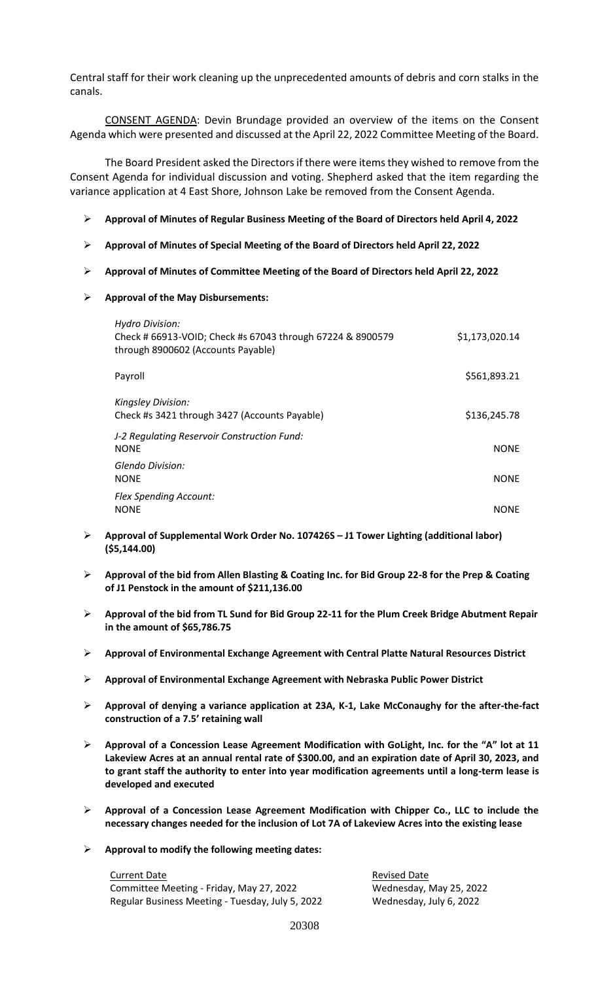Central staff for their work cleaning up the unprecedented amounts of debris and corn stalks in the canals.

CONSENT AGENDA: Devin Brundage provided an overview of the items on the Consent Agenda which were presented and discussed at the April 22, 2022 Committee Meeting of the Board.

The Board President asked the Directors if there were items they wished to remove from the Consent Agenda for individual discussion and voting. Shepherd asked that the item regarding the variance application at 4 East Shore, Johnson Lake be removed from the Consent Agenda.

- **Approval of Minutes of Regular Business Meeting of the Board of Directors held April 4, 2022**
- **Approval of Minutes of Special Meeting of the Board of Directors held April 22, 2022**
- **Approval of Minutes of Committee Meeting of the Board of Directors held April 22, 2022**
- **Approval of the May Disbursements:**

| <b>Hydro Division:</b><br>Check # 66913-VOID; Check #s 67043 through 67224 & 8900579<br>through 8900602 (Accounts Payable) | \$1,173,020.14 |
|----------------------------------------------------------------------------------------------------------------------------|----------------|
| Payroll                                                                                                                    | \$561,893.21   |
| <b>Kingsley Division:</b><br>Check #s 3421 through 3427 (Accounts Payable)                                                 | \$136,245.78   |
| J-2 Regulating Reservoir Construction Fund:<br><b>NONE</b>                                                                 | <b>NONE</b>    |
| Glendo Division:<br><b>NONE</b>                                                                                            | <b>NONE</b>    |
| <b>Flex Spending Account:</b><br><b>NONE</b>                                                                               | <b>NONE</b>    |

- **Approval of Supplemental Work Order No. 107426S – J1 Tower Lighting (additional labor) (\$5,144.00)**
- **Approval of the bid from Allen Blasting & Coating Inc. for Bid Group 22-8 for the Prep & Coating of J1 Penstock in the amount of \$211,136.00**
- **Approval of the bid from TL Sund for Bid Group 22-11 for the Plum Creek Bridge Abutment Repair in the amount of \$65,786.75**
- **Approval of Environmental Exchange Agreement with Central Platte Natural Resources District**
- **Approval of Environmental Exchange Agreement with Nebraska Public Power District**
- **Approval of denying a variance application at 23A, K-1, Lake McConaughy for the after-the-fact construction of a 7.5' retaining wall**
- **Approval of a Concession Lease Agreement Modification with GoLight, Inc. for the "A" lot at 11 Lakeview Acres at an annual rental rate of \$300.00, and an expiration date of April 30, 2023, and to grant staff the authority to enter into year modification agreements until a long-term lease is developed and executed**
- **Approval of a Concession Lease Agreement Modification with Chipper Co., LLC to include the necessary changes needed for the inclusion of Lot 7A of Lakeview Acres into the existing lease**
- **Approval to modify the following meeting dates:**

Current Date **Current Date Revised Date** Committee Meeting - Friday, May 27, 2022 Wednesday, May 25, 2022 Regular Business Meeting - Tuesday, July 5, 2022 Wednesday, July 6, 2022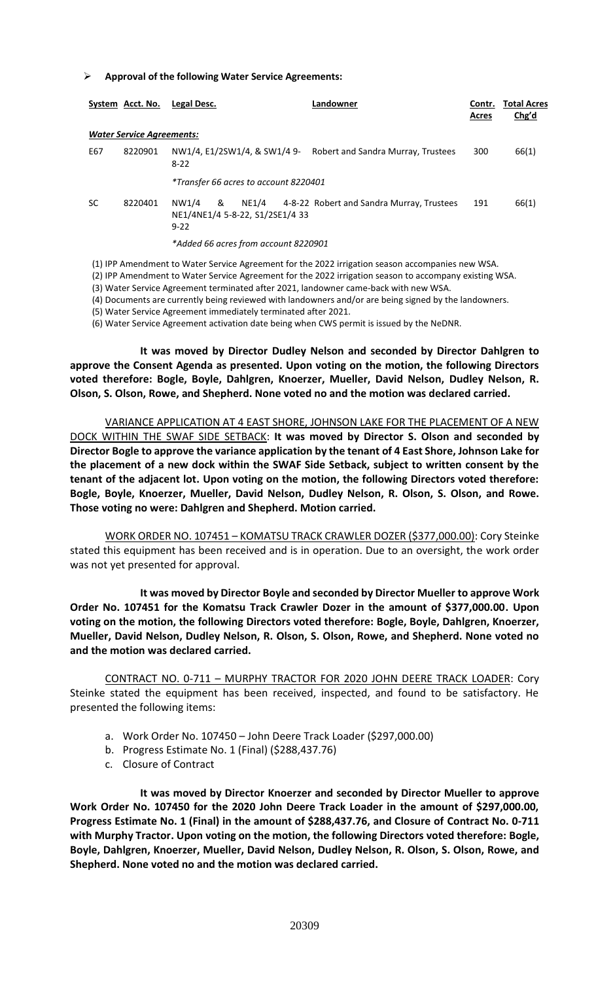#### **Approval of the following Water Service Agreements:**

|           | System Acct. No.                 | Legal Desc.                                               |       | Landowner                                 | Contr.<br>Acres | <b>Total Acres</b><br>Chg'd |
|-----------|----------------------------------|-----------------------------------------------------------|-------|-------------------------------------------|-----------------|-----------------------------|
|           | <b>Water Service Agreements:</b> |                                                           |       |                                           |                 |                             |
| E67       | 8220901                          | NW1/4, E1/2SW1/4, & SW1/4 9-<br>$8-22$                    |       | Robert and Sandra Murray, Trustees        | 300             | 66(1)                       |
|           |                                  | *Transfer 66 acres to account 8220401                     |       |                                           |                 |                             |
| <b>SC</b> | 8220401                          | &<br>NW1/4<br>NE1/4NE1/4 5-8-22, S1/2SE1/4 33<br>$9 - 22$ | NE1/4 | 4-8-22 Robert and Sandra Murray, Trustees | 191             | 66(1)                       |
|           |                                  | *Added 66 acres from account 8220901                      |       |                                           |                 |                             |

(1) IPP Amendment to Water Service Agreement for the 2022 irrigation season accompanies new WSA.

- (2) IPP Amendment to Water Service Agreement for the 2022 irrigation season to accompany existing WSA.
- (3) Water Service Agreement terminated after 2021, landowner came-back with new WSA.
- (4) Documents are currently being reviewed with landowners and/or are being signed by the landowners.
- (5) Water Service Agreement immediately terminated after 2021.

(6) Water Service Agreement activation date being when CWS permit is issued by the NeDNR.

**It was moved by Director Dudley Nelson and seconded by Director Dahlgren to approve the Consent Agenda as presented. Upon voting on the motion, the following Directors voted therefore: Bogle, Boyle, Dahlgren, Knoerzer, Mueller, David Nelson, Dudley Nelson, R. Olson, S. Olson, Rowe, and Shepherd. None voted no and the motion was declared carried.** 

VARIANCE APPLICATION AT 4 EAST SHORE, JOHNSON LAKE FOR THE PLACEMENT OF A NEW DOCK WITHIN THE SWAF SIDE SETBACK: **It was moved by Director S. Olson and seconded by Director Bogle to approve the variance application by the tenant of 4 East Shore, Johnson Lake for the placement of a new dock within the SWAF Side Setback, subject to written consent by the tenant of the adjacent lot. Upon voting on the motion, the following Directors voted therefore: Bogle, Boyle, Knoerzer, Mueller, David Nelson, Dudley Nelson, R. Olson, S. Olson, and Rowe. Those voting no were: Dahlgren and Shepherd. Motion carried.**

WORK ORDER NO. 107451 – KOMATSU TRACK CRAWLER DOZER (\$377,000.00): Cory Steinke stated this equipment has been received and is in operation. Due to an oversight, the work order was not yet presented for approval.

**It was moved by Director Boyle and seconded by Director Mueller to approve Work Order No. 107451 for the Komatsu Track Crawler Dozer in the amount of \$377,000.00. Upon voting on the motion, the following Directors voted therefore: Bogle, Boyle, Dahlgren, Knoerzer, Mueller, David Nelson, Dudley Nelson, R. Olson, S. Olson, Rowe, and Shepherd. None voted no and the motion was declared carried.** 

CONTRACT NO. 0-711 – MURPHY TRACTOR FOR 2020 JOHN DEERE TRACK LOADER: Cory Steinke stated the equipment has been received, inspected, and found to be satisfactory. He presented the following items:

- a. Work Order No. 107450 John Deere Track Loader (\$297,000.00)
- b. Progress Estimate No. 1 (Final) (\$288,437.76)
- c. Closure of Contract

**It was moved by Director Knoerzer and seconded by Director Mueller to approve Work Order No. 107450 for the 2020 John Deere Track Loader in the amount of \$297,000.00, Progress Estimate No. 1 (Final) in the amount of \$288,437.76, and Closure of Contract No. 0-711 with Murphy Tractor. Upon voting on the motion, the following Directors voted therefore: Bogle, Boyle, Dahlgren, Knoerzer, Mueller, David Nelson, Dudley Nelson, R. Olson, S. Olson, Rowe, and Shepherd. None voted no and the motion was declared carried.**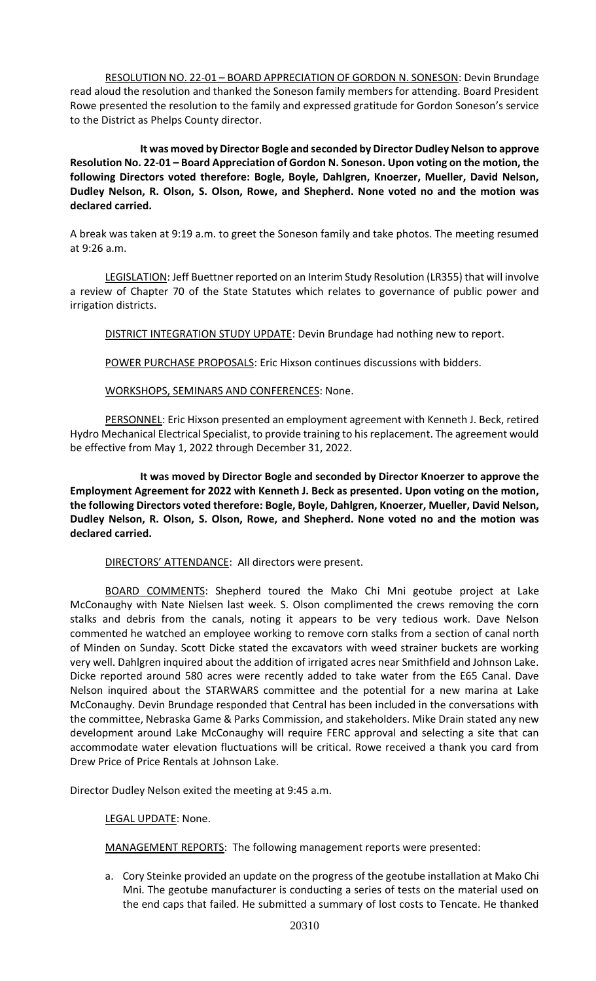RESOLUTION NO. 22-01 – BOARD APPRECIATION OF GORDON N. SONESON: Devin Brundage read aloud the resolution and thanked the Soneson family members for attending. Board President Rowe presented the resolution to the family and expressed gratitude for Gordon Soneson's service to the District as Phelps County director.

**It was moved by Director Bogle and seconded by Director Dudley Nelson to approve Resolution No. 22-01 – Board Appreciation of Gordon N. Soneson. Upon voting on the motion, the following Directors voted therefore: Bogle, Boyle, Dahlgren, Knoerzer, Mueller, David Nelson, Dudley Nelson, R. Olson, S. Olson, Rowe, and Shepherd. None voted no and the motion was declared carried.** 

A break was taken at 9:19 a.m. to greet the Soneson family and take photos. The meeting resumed at 9:26 a.m.

LEGISLATION: Jeff Buettner reported on an Interim Study Resolution (LR355) that will involve a review of Chapter 70 of the State Statutes which relates to governance of public power and irrigation districts.

DISTRICT INTEGRATION STUDY UPDATE: Devin Brundage had nothing new to report.

POWER PURCHASE PROPOSALS: Eric Hixson continues discussions with bidders.

WORKSHOPS, SEMINARS AND CONFERENCES: None.

PERSONNEL: Eric Hixson presented an employment agreement with Kenneth J. Beck, retired Hydro Mechanical Electrical Specialist, to provide training to his replacement. The agreement would be effective from May 1, 2022 through December 31, 2022.

**It was moved by Director Bogle and seconded by Director Knoerzer to approve the Employment Agreement for 2022 with Kenneth J. Beck as presented. Upon voting on the motion, the following Directors voted therefore: Bogle, Boyle, Dahlgren, Knoerzer, Mueller, David Nelson, Dudley Nelson, R. Olson, S. Olson, Rowe, and Shepherd. None voted no and the motion was declared carried.** 

DIRECTORS' ATTENDANCE: All directors were present.

BOARD COMMENTS: Shepherd toured the Mako Chi Mni geotube project at Lake McConaughy with Nate Nielsen last week. S. Olson complimented the crews removing the corn stalks and debris from the canals, noting it appears to be very tedious work. Dave Nelson commented he watched an employee working to remove corn stalks from a section of canal north of Minden on Sunday. Scott Dicke stated the excavators with weed strainer buckets are working very well. Dahlgren inquired about the addition of irrigated acres near Smithfield and Johnson Lake. Dicke reported around 580 acres were recently added to take water from the E65 Canal. Dave Nelson inquired about the STARWARS committee and the potential for a new marina at Lake McConaughy. Devin Brundage responded that Central has been included in the conversations with the committee, Nebraska Game & Parks Commission, and stakeholders. Mike Drain stated any new development around Lake McConaughy will require FERC approval and selecting a site that can accommodate water elevation fluctuations will be critical. Rowe received a thank you card from Drew Price of Price Rentals at Johnson Lake.

Director Dudley Nelson exited the meeting at 9:45 a.m.

LEGAL UPDATE: None.

MANAGEMENT REPORTS: The following management reports were presented:

a. Cory Steinke provided an update on the progress of the geotube installation at Mako Chi Mni. The geotube manufacturer is conducting a series of tests on the material used on the end caps that failed. He submitted a summary of lost costs to Tencate. He thanked